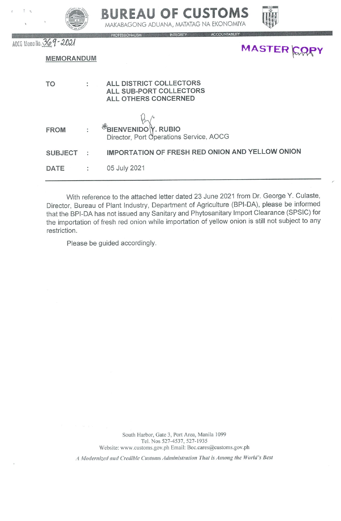|                        |   | DUKEAU VF LUJIVINJ<br>MAKABAGONG ADUANA, MATATAG NA EKONOMIYA              |
|------------------------|---|----------------------------------------------------------------------------|
| AOCG Memo No. 369-2021 |   | <b>ACCOUNTABILITY</b><br><b>PROFESSIONALISM</b><br>INTEGRITY<br>MASTER COP |
| <b>MEMORANDUM</b>      |   |                                                                            |
| <b>TO</b>              |   | ALL DISTRICT COLLECTORS<br>ALL SUB-PORT COLLECTORS<br>ALL OTHERS CONCERNED |
| <b>FROM</b>            |   | <b>FBIENVENIDOY. RUBIO</b><br>Director, Port Operations Service, AOCG      |
| <b>SUBJECT</b>         | t | IMPORTATION OF FRESH RED ONION AND YELLOW ONION                            |
| <b>DATE</b>            |   | 05 July 2021                                                               |

DIIDEAII AE CIICTAME

With reference to the attached letter dated 23 June 2021 from Dr. George Y. Culaste, Director, Bureau of Plant Industry, Department of Agriculture (BPI-DA), please be informed that the BPI-DA has not issued any Sanitary and Phytosanitary Import Clearance (SPSIC) for the importation of fresh red onion while importation of yellow onion is still not subject to any restriction.

Please be guided accordingly.

 $7 - 3$ 

South Harbor, Gate 3, Port Area, Manila 1099 Tel. Nos 527-4537, 527-1935 Website: www.customs.gov.ph Email: Boc.cares@customs.gov.ph

A Modernized and Credible Customs Administration That is Among the World's Best